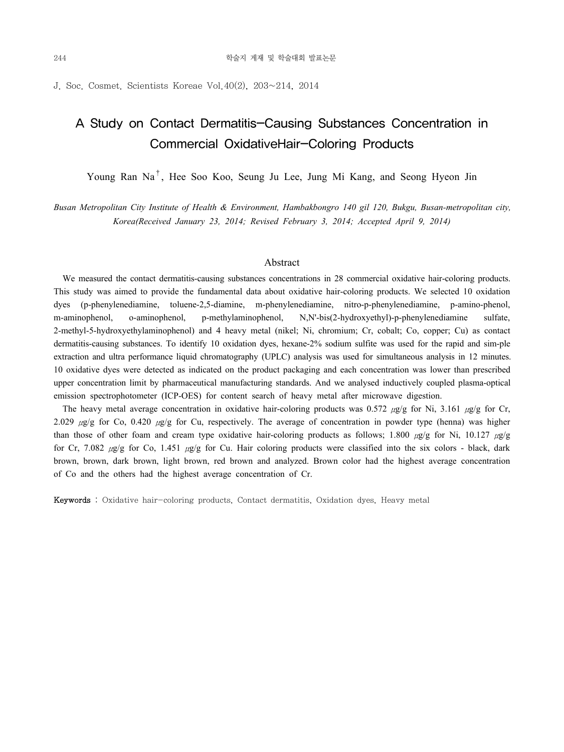J. Soc. Cosmet. Scientists Koreae Vol.40(2), 203~214, 2014

# A Study on Contact Dermatitis-Causing Substances Concentration in Commercial OxidativeHair-Coloring Products

Young Ran Na†, Hee Soo Koo, Seung Ju Lee, Jung Mi Kang, and Seong Hyeon Jin

*Busan Metropolitan City Institute of Health & Environment, Hambakbongro 140 gil 120, Bukgu, Busan-metropolitan city, Korea(Received January 23, 2014; Revised February 3, 2014; Accepted April 9, 2014)*

#### Abstract

We measured the contact dermatitis-causing substances concentrations in 28 commercial oxidative hair-coloring products. This study was aimed to provide the fundamental data about oxidative hair-coloring products. We selected 10 oxidation dyes (p-phenylenediamine, toluene-2,5-diamine, m-phenylenediamine, nitro-p-phenylenediamine, p-amino-phenol, m-aminophenol, o-aminophenol, p-methylaminophenol, N,N'-bis(2-hydroxyethyl)-p-phenylenediamine sulfate, 2-methyl-5-hydroxyethylaminophenol) and 4 heavy metal (nikel; Ni, chromium; Cr, cobalt; Co, copper; Cu) as contact dermatitis-causing substances. To identify 10 oxidation dyes, hexane-2% sodium sulfite was used for the rapid and sim-ple extraction and ultra performance liquid chromatography (UPLC) analysis was used for simultaneous analysis in 12 minutes. 10 oxidative dyes were detected as indicated on the product packaging and each concentration was lower than prescribed upper concentration limit by pharmaceutical manufacturing standards. And we analysed inductively coupled plasma-optical emission spectrophotometer (ICP-OES) for content search of heavy metal after microwave digestion.

The heavy metal average concentration in oxidative hair-coloring products was 0.572 μg/g for Ni, 3.161 μg/g for Cr, 2.029  $\mu$ g/g for Co, 0.420  $\mu$ g/g for Cu, respectively. The average of concentration in powder type (henna) was higher than those of other foam and cream type oxidative hair-coloring products as follows; 1.800 μg/g for Ni, 10.127 μg/g for Cr, 7.082  $\mu$ g/g for Co, 1.451  $\mu$ g/g for Cu. Hair coloring products were classified into the six colors - black, dark brown, brown, dark brown, light brown, red brown and analyzed. Brown color had the highest average concentration of Co and the others had the highest average concentration of Cr.

Keywords : Oxidative hair-coloring products, Contact dermatitis, Oxidation dyes, Heavy metal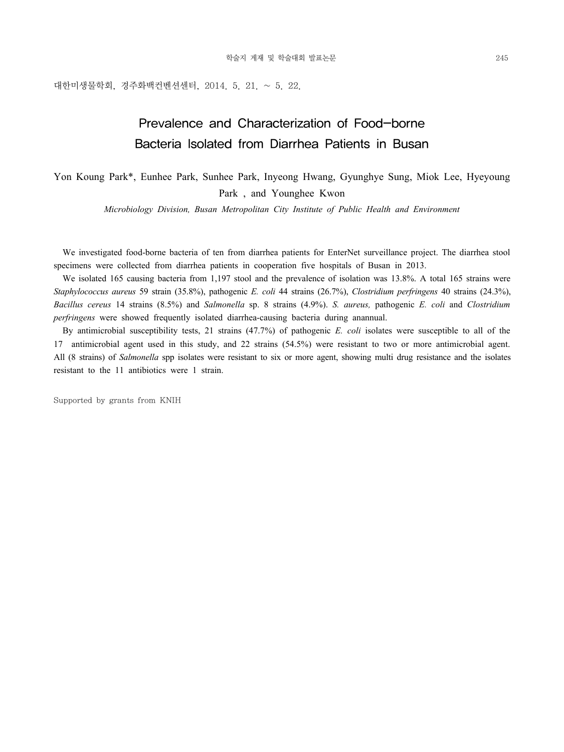대한미생물학회, 경주화백컨벤션센터, 2014. 5. 21. ~ 5. 22.

# Prevalence and Characterization of Food-borne Bacteria Isolated from Diarrhea Patients in Busan

Yon Koung Park\*, Eunhee Park, Sunhee Park, Inyeong Hwang, Gyunghye Sung, Miok Lee, Hyeyoung Park , and Younghee Kwon

*Microbiology Division, Busan Metropolitan City Institute of Public Health and Environment*

 We investigated food-borne bacteria of ten from diarrhea patients for EnterNet surveillance project. The diarrhea stool specimens were collected from diarrhea patients in cooperation five hospitals of Busan in 2013.

We isolated 165 causing bacteria from 1,197 stool and the prevalence of isolation was 13.8%. A total 165 strains were *Staphylococcus aureus* 59 strain (35.8%), pathogenic *E. coli* 44 strains (26.7%), *Clostridium perfringens* 40 strains (24.3%), *Bacillus cereus* 14 strains (8.5%) and *Salmonella* sp. 8 strains (4.9%). *S. aureus,* pathogenic *E. coli* and *Clostridium perfringens* were showed frequently isolated diarrhea-causing bacteria during anannual.

 By antimicrobial susceptibility tests, 21 strains (47.7%) of pathogenic *E. coli* isolates were susceptible to all of the 17 antimicrobial agent used in this study, and 22 strains (54.5%) were resistant to two or more antimicrobial agent. All (8 strains) of *Salmonella* spp isolates were resistant to six or more agent, showing multi drug resistance and the isolates resistant to the 11 antibiotics were 1 strain.

Supported by grants from KNIH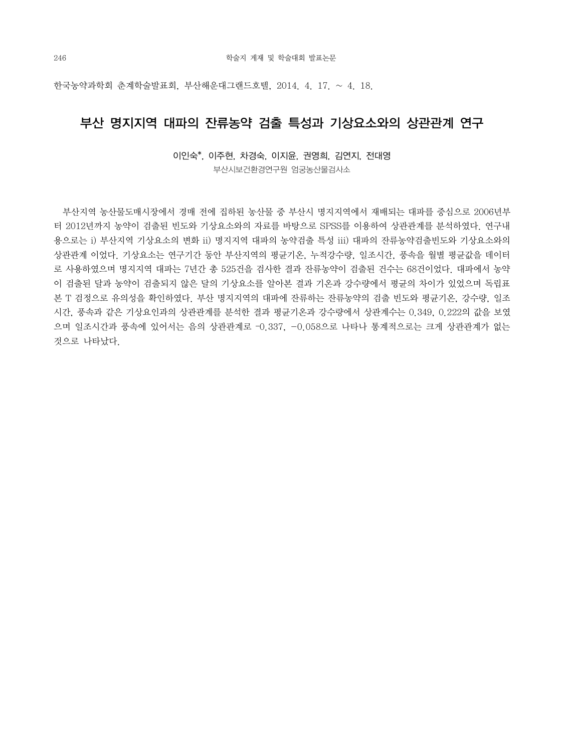한국농약과학회 춘계학술발표회, 부산해운대그랜드호텔, 2014. 4. 17. ~ 4. 18.

### 부산 명지지역 대파의 잔류농약 검출 특성과 기상요소와의 상관관계 연구

이인숙\*, 이주현, 차경숙, 이지윤, 권영희, 김연지, 전대영 부산시보건환경연구원 엄궁농산물검사소

 부산지역 농산물도매시장에서 경매 전에 집하된 농산물 중 부산시 명지지역에서 재배되는 대파를 중심으로 2006년부 터 2012년까지 농약이 검출된 빈도와 기상요소와의 자료를 바탕으로 SPSS를 이용하여 상관관계를 분석하였다. 연구내 용으로는 i) 부산지역 기상요소의 변화 ii) 명지지역 대파의 농약검출 특성 iii) 대파의 잔류농약검출빈도와 기상요소와의 상관관계 이었다. 기상요소는 연구기간 동안 부산지역의 평균기온, 누적강수량, 일조시간, 풍속을 월별 평균값을 데이터 로 사용하였으며 명지지역 대파는 7년간 총 525건을 검사한 결과 잔류농약이 검출된 건수는 68건이었다. 대파에서 농약 이 검출된 달과 농약이 검출되지 않은 달의 기상요소를 알아본 결과 기온과 강수량에서 평균의 차이가 있었으며 독립표 본 T 검정으로 유의성을 확인하였다. 부산 명지지역의 대파에 잔류하는 잔류농약의 검출 빈도와 평균기온, 강수량, 일조 시간, 풍속과 같은 기상요인과의 상관관계를 분석한 결과 평균기온과 강수량에서 상관계수는 0.349, 0.222의 값을 보였 으며 일조시간과 풍속에 있어서는 음의 상관관계로 –0.337, -0.058으로 나타나 통계적으로는 크게 상관관계가 없는 것으로 나타났다.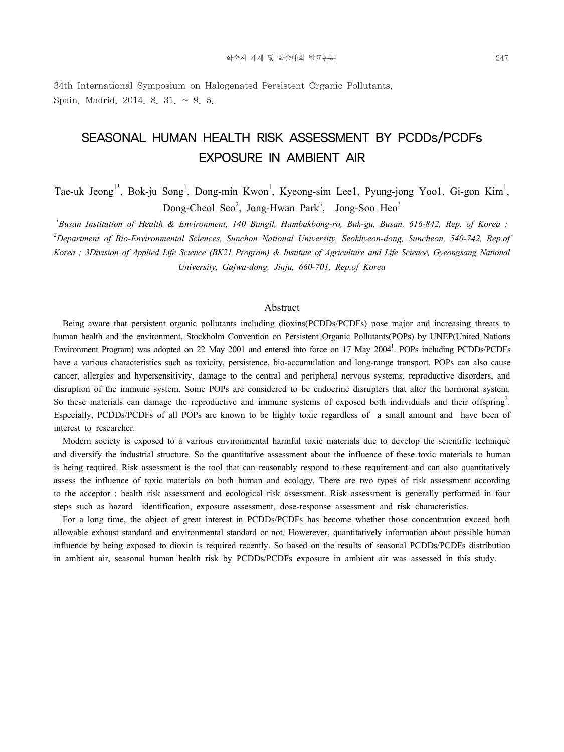34th International Symposium on Halogenated Persistent Organic Pollutants, Spain, Madrid, 2014. 8. 31. ~ 9. 5.

# SEASONAL HUMAN HEALTH RISK ASSESSMENT BY PCDDs/PCDFs EXPOSURE IN AMBIENT AIR

Tae-uk Jeong<sup>1\*</sup>, Bok-ju Song<sup>1</sup>, Dong-min Kwon<sup>1</sup>, Kyeong-sim Lee1, Pyung-jong Yoo1, Gi-gon Kim<sup>1</sup>, Dong-Cheol Seo<sup>2</sup>, Jong-Hwan Park<sup>3</sup>, Jong-Soo Heo<sup>3</sup>

<sup>1</sup> Busan Institution of Health & Environment, 140 Bungil, Hambakbong-ro, Buk-gu, Busan, 616-842, Rep. of Korea ; *2 Department of Bio-Environmental Sciences, Sunchon National University, Seokhyeon-dong, Suncheon, 540-742, Rep.of Korea ; 3Division of Applied Life Science (BK21 Program) & Institute of Agriculture and Life Science, Gyeongsang National University, Gajwa-dong. Jinju, 660-701, Rep.of Korea* 

#### Abstract

 Being aware that persistent organic pollutants including dioxins(PCDDs/PCDFs) pose major and increasing threats to human health and the environment, Stockholm Convention on Persistent Organic Pollutants(POPs) by UNEP(United Nations Environment Program) was adopted on 22 May 2001 and entered into force on 17 May 2004<sup>1</sup>. POPs including PCDDs/PCDFs have a various characteristics such as toxicity, persistence, bio-accumulation and long-range transport. POPs can also cause cancer, allergies and hypersensitivity, damage to the central and peripheral nervous systems, reproductive disorders, and disruption of the immune system. Some POPs are considered to be endocrine disrupters that alter the hormonal system. So these materials can damage the reproductive and immune systems of exposed both individuals and their offspring<sup>2</sup>. Especially, PCDDs/PCDFs of all POPs are known to be highly toxic regardless of a small amount and have been of interest to researcher.

 Modern society is exposed to a various environmental harmful toxic materials due to develop the scientific technique and diversify the industrial structure. So the quantitative assessment about the influence of these toxic materials to human is being required. Risk assessment is the tool that can reasonably respond to these requirement and can also quantitatively assess the influence of toxic materials on both human and ecology. There are two types of risk assessment according to the acceptor : health risk assessment and ecological risk assessment. Risk assessment is generally performed in four steps such as hazard identification, exposure assessment, dose-response assessment and risk characteristics.

 For a long time, the object of great interest in PCDDs/PCDFs has become whether those concentration exceed both allowable exhaust standard and environmental standard or not. Howerever, quantitatively information about possible human influence by being exposed to dioxin is required recently. So based on the results of seasonal PCDDs/PCDFs distribution in ambient air, seasonal human health risk by PCDDs/PCDFs exposure in ambient air was assessed in this study.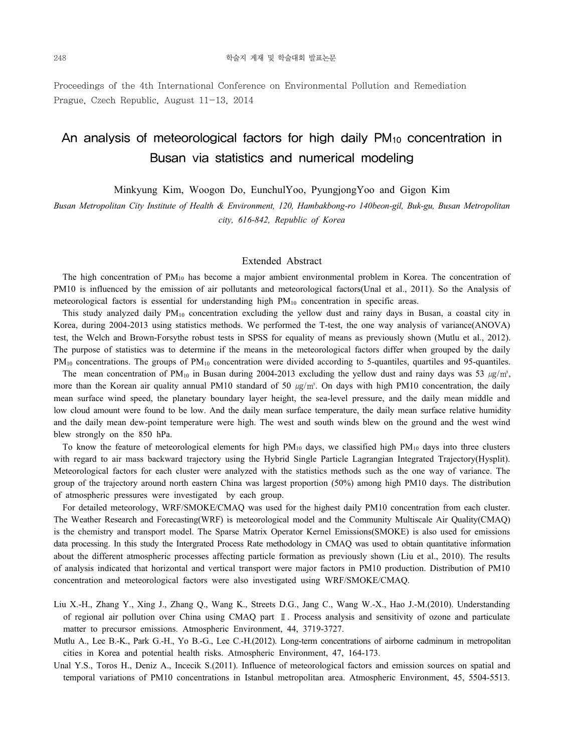Proceedings of the 4th International Conference on Environmental Pollution and Remediation Prague, Czech Republic, August 11-13, 2014

# An analysis of meteorological factors for high daily  $PM_{10}$  concentration in Busan via statistics and numerical modeling

Minkyung Kim, Woogon Do, EunchulYoo, PyungjongYoo and Gigon Kim

*Busan Metropolitan City Institute of Health & Environment, 120, Hambakbong-ro 140beon-gil, Buk-gu, Busan Metropolitan city, 616-842, Republic of Korea*

#### Extended Abstract

 The high concentration of PM10 has become a major ambient environmental problem in Korea. The concentration of PM10 is influenced by the emission of air pollutants and meteorological factors(Unal et al., 2011). So the Analysis of meteorological factors is essential for understanding high PM<sub>10</sub> concentration in specific areas.

 This study analyzed daily PM10 concentration excluding the yellow dust and rainy days in Busan, a coastal city in Korea, during 2004-2013 using statistics methods. We performed the T-test, the one way analysis of variance(ANOVA) test, the Welch and Brown-Forsythe robust tests in SPSS for equality of means as previously shown (Mutlu et al., 2012). The purpose of statistics was to determine if the means in the meteorological factors differ when grouped by the daily PM<sub>10</sub> concentrations. The groups of PM<sub>10</sub> concentration were divided according to 5-quantiles, quartiles and 95-quantiles.

The mean concentration of PM<sub>10</sub> in Busan during 2004-2013 excluding the yellow dust and rainy days was 53  $\mu g/m^3$ , more than the Korean air quality annual PM10 standard of 50  $\mu\alpha/m^3$ . On days with high PM10 concentration, the daily mean surface wind speed, the planetary boundary layer height, the sea-level pressure, and the daily mean middle and low cloud amount were found to be low. And the daily mean surface temperature, the daily mean surface relative humidity and the daily mean dew-point temperature were high. The west and south winds blew on the ground and the west wind blew strongly on the 850 hPa.

 To know the feature of meteorological elements for high PM10 days, we classified high PM10 days into three clusters with regard to air mass backward trajectory using the Hybrid Single Particle Lagrangian Integrated Trajectory(Hysplit). Meteorological factors for each cluster were analyzed with the statistics methods such as the one way of variance. The group of the trajectory around north eastern China was largest proportion (50%) among high PM10 days. The distribution of atmospheric pressures were investigated by each group.

 For detailed meteorology, WRF/SMOKE/CMAQ was used for the highest daily PM10 concentration from each cluster. The Weather Research and Forecasting(WRF) is meteorological model and the Community Multiscale Air Quality(CMAQ) is the chemistry and transport model. The Sparse Matrix Operator Kernel Emissions(SMOKE) is also used for emissions data processing. In this study the Intergrated Process Rate methodology in CMAQ was used to obtain quantitative information about the different atmospheric processes affecting particle formation as previously shown (Liu et al., 2010). The results of analysis indicated that horizontal and vertical transport were major factors in PM10 production. Distribution of PM10 concentration and meteorological factors were also investigated using WRF/SMOKE/CMAQ.

- Liu X.-H., Zhang Y., Xing J., Zhang Q., Wang K., Streets D.G., Jang C., Wang W.-X., Hao J.-M.(2010). Understanding of regional air pollution over China using CMAQ part Ⅱ. Process analysis and sensitivity of ozone and particulate matter to precursor emissions. Atmospheric Environment, 44, 3719-3727.
- Mutlu A., Lee B.-K., Park G.-H., Yo B.-G., Lee C.-H.(2012). Long-term concentrations of airborne cadminum in metropolitan cities in Korea and potential health risks. Atmospheric Environment, 47, 164-173.
- Unal Y.S., Toros H., Deniz A., Incecik S.(2011). Influence of meteorological factors and emission sources on spatial and temporal variations of PM10 concentrations in Istanbul metropolitan area. Atmospheric Environment, 45, 5504-5513.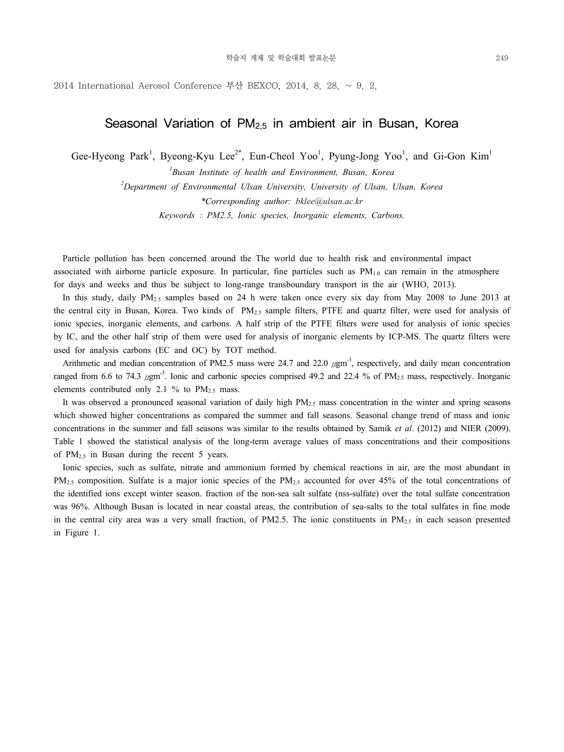2014 International Aerosol Conference 부산 BEXCO, 2014, 8, 28,  $\sim$  9, 2.

### Seasonal Variation of  $PM<sub>2.5</sub>$  in ambient air in Busan, Korea

Gee-Hyeong Park<sup>1</sup>, Byeong-Kyu Lee<sup>2\*</sup>, Eun-Cheol Yoo<sup>1</sup>, Pyung-Jong Yoo<sup>1</sup>, and Gi-Gon Kim<sup>1</sup>

*1 Busan Institute of health and Environment, Busan, Korea 2 Department of Environmental Ulsan University, University of Ulsan, Ulsan, Korea \*Corresponding author: bklee@ulsan.ac.kr Keywords : PM2.5, Ionic species, Inorganic elements, Carbons.* 

 Particle pollution has been concerned around the The world due to health risk and environmental impact associated with airborne particle exposure. In particular, fine particles such as  $PM_{1,0}$  can remain in the atmosphere for days and weeks and thus be subject to long-range transboundary transport in the air (WHO, 2013).

In this study, daily PM<sub>2.5</sub> samples based on 24 h were taken once every six day from May 2008 to June 2013 at the central city in Busan, Korea. Two kinds of PM2.5 sample filters, PTFE and quartz filter, were used for analysis of ionic species, inorganic elements, and carbons. A half strip of the PTFE filters were used for analysis of ionic species by IC, and the other half strip of them were used for analysis of inorganic elements by ICP-MS. The quartz filters were used for analysis carbons (EC and OC) by TOT method.

Arithmetic and median concentration of PM2.5 mass were 24.7 and 22.0  $\mu$ gm<sup>-3</sup>, respectively, and daily mean concentration ranged from 6.6 to 74.3  $\mu$ gm<sup>-3</sup>. Ionic and carbonic species comprised 49.2 and 22.4 % of PM<sub>2.5</sub> mass, respectively. Inorganic elements contributed only 2.1 % to  $PM_{2.5}$  mass.

It was observed a pronounced seasonal variation of daily high  $PM_{2.5}$  mass concentration in the winter and spring seasons which showed higher concentrations as compared the summer and fall seasons. Seasonal change trend of mass and ionic concentrations in the summer and fall seasons was similar to the results obtained by Samik *et al*. (2012) and NIER (2009). Table 1 showed the statistical analysis of the long-term average values of mass concentrations and their compositions of  $PM_{2.5}$  in Busan during the recent 5 years.

 Ionic species, such as sulfate, nitrate and ammonium formed by chemical reactions in air, are the most abundant in PM<sub>2.5</sub> composition. Sulfate is a major ionic species of the PM<sub>2.5</sub> accounted for over 45% of the total concentrations of the identified ions except winter season. fraction of the non-sea salt sulfate (nss-sulfate) over the total sulfate concentration was 96%. Although Busan is located in near coastal areas, the contribution of sea-salts to the total sulfates in fine mode in the central city area was a very small fraction, of PM2.5. The ionic constituents in  $PM_{2.5}$  in each season presented in Figure 1.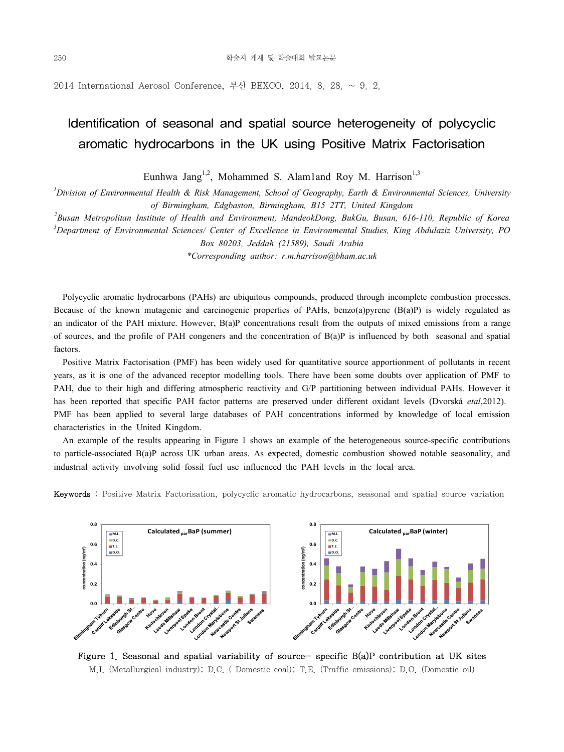2014 International Aerosol Conference, 부산 BEXCO, 2014. 8. 28.  $\sim$  9. 2.

# Identification of seasonal and spatial source heterogeneity of polycyclic aromatic hydrocarbons in the UK using Positive Matrix Factorisation

Eunhwa Jang<sup>1,2</sup>, Mohammed S. Alam1and Roy M. Harrison<sup>1,3</sup>

*1 Division of Environmental Health & Risk Management, School of Geography, Earth & Environmental Sciences, University of Birmingham, Edgbaston, Birmingham, B15 2TT, United Kingdom*

*2 Busan Metropolitan Institute of Health and Environment, MandeokDong, BukGu, Busan, 616-110, Republic of Korea*

*3 Department of Environmental Sciences/ Center of Excellence in Environmental Studies, King Abdulaziz University, PO Box 80203, Jeddah (21589), Saudi Arabia*

*\*Corresponding author: r.m.harrison@bham.ac.uk*

 Polycyclic aromatic hydrocarbons (PAHs) are ubiquitous compounds, produced through incomplete combustion processes. Because of the known mutagenic and carcinogenic properties of PAHs, benzo(a)pyrene (B(a)P) is widely regulated as an indicator of the PAH mixture. However, B(a)P concentrations result from the outputs of mixed emissions from a range of sources, and the profile of PAH congeners and the concentration of B(a)P is influenced by both seasonal and spatial factors.

 Positive Matrix Factorisation (PMF) has been widely used for quantitative source apportionment of pollutants in recent years, as it is one of the advanced receptor modelling tools. There have been some doubts over application of PMF to PAH, due to their high and differing atmospheric reactivity and G/P partitioning between individual PAHs. However it has been reported that specific PAH factor patterns are preserved under different oxidant levels (Dvorská *etal*,2012). PMF has been applied to several large databases of PAH concentrations informed by knowledge of local emission characteristics in the United Kingdom.

 An example of the results appearing in Figure 1 shows an example of the heterogeneous source-specific contributions to particle-associated B(a)P across UK urban areas. As expected, domestic combustion showed notable seasonality, and industrial activity involving solid fossil fuel use influenced the PAH levels in the local area.

Keywords : Positive Matrix Factorisation, polycyclic aromatic hydrocarbons, seasonal and spatial source variation



Figure 1. Seasonal and spatial variability of source- specific B(a)P contribution at UK sites M.I. (Metallurgical industry); D.C. ( Domestic coal); T.E. (Traffic emissions); D.O. (Domestic oil)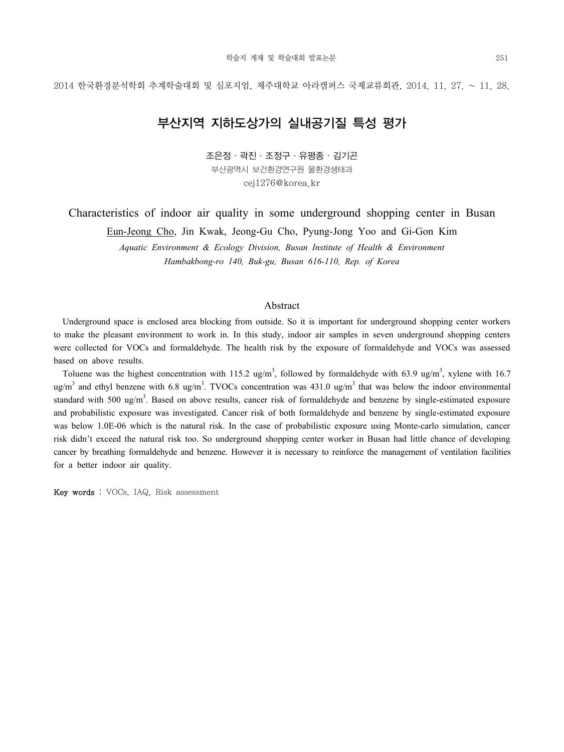## 부산지역 지하도상가의 실내공기질 특성 평가

조은정·곽진·조정구·유평종·김기곤

부산광역시 보건환경연구원 물환경생태과 cej1276@korea.kr

Characteristics of indoor air quality in some underground shopping center in Busan

Eun-Jeong Cho, Jin Kwak, Jeong-Gu Cho, Pyung-Jong Yoo and Gi-Gon Kim

*Aquatic Environment & Ecology Division, Busan Institute of Health & Environment Hambakbong-ro 140, Buk-gu, Busan 616-110, Rep. of Korea*

#### Abstract

 Underground space is enclosed area blocking from outside. So it is important for underground shopping center workers to make the pleasant environment to work in. In this study, indoor air samples in seven underground shopping centers were collected for VOCs and formaldehyde. The health risk by the exposure of formaldehyde and VOCs was assessed based on above results.

Toluene was the highest concentration with 115.2 ug/m<sup>3</sup>, followed by formaldehyde with 63.9 ug/m<sup>3</sup>, xylene with 16.7 ug/m<sup>3</sup> and ethyl benzene with 6.8 ug/m<sup>3</sup>. TVOCs concentration was  $431.0 \text{ ug/m}^3$  that was below the indoor environmental standard with 500 ug/m<sup>3</sup>. Based on above results, cancer risk of formaldehyde and benzene by single-estimated exposure and probabilistic exposure was investigated. Cancer risk of both formaldehyde and benzene by single-estimated exposure was below 1.0E-06 which is the natural risk. In the case of probabilistic exposure using Monte-carlo simulation, cancer risk didn't exceed the natural risk too. So underground shopping center worker in Busan had little chance of developing cancer by breathing formaldehyde and benzene. However it is necessary to reinforce the management of ventilation facilities for a better indoor air quality.

Key words : VOCs, IAQ, Risk assessment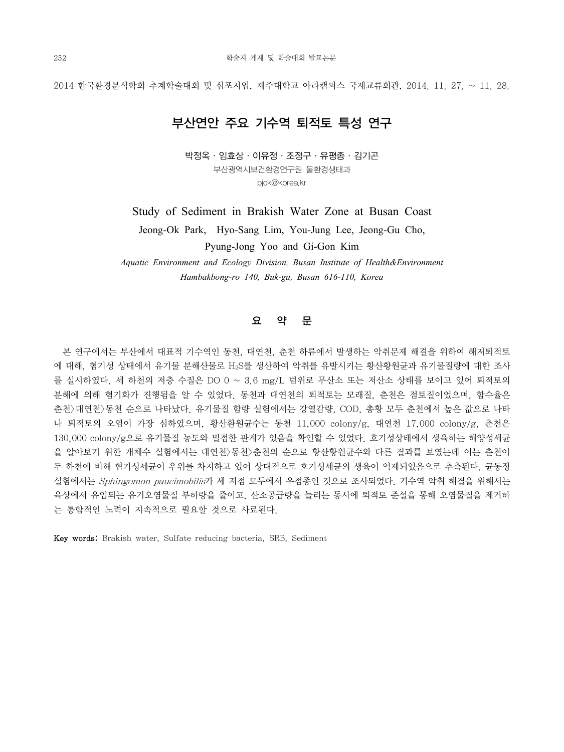## 부산연안 주요 기수역 퇴적토 특성 연구

박정옥·임효상·이유정·조정구·유평종·김기곤 부산광역시보건환경연구원 물환경생태과 pjok@korea.kr

Study of Sediment in Brakish Water Zone at Busan Coast

Jeong-Ok Park, Hyo-Sang Lim, You-Jung Lee, Jeong-Gu Cho, Pyung-Jong Yoo and Gi-Gon Kim

*Aquatic Environment and Ecology Division, Busan Institute of Health&Environment Hambakbong-ro 140, Buk-gu, Busan 616-110, Korea* 

### 요 약 문

 본 연구에서는 부산에서 대표적 기수역인 동천, 대연천, 춘천 하류에서 발생하는 악취문제 해결을 위하여 해저퇴적토 에 대해, 혐기성 상태에서 유기물 분해산물로 H2S를 생산하여 악취를 유발시키는 황산황원균과 유기물질량에 대한 조사 를 실시하였다. 세 하천의 저층 수질은 DO 0 ~ 3.6 mg/L 범위로 무산소 또는 저산소 상태를 보이고 있어 퇴적토의 분해에 의해 혐기화가 진행됨을 알 수 있었다. 동천과 대연천의 퇴적토는 모래질, 춘천은 점토질이었으며, 함수율은 춘천>대연천>동천 순으로 나타났다. 유기물질 함량 실험에서는 강열감량, COD, 총황 모두 춘천에서 높은 값으로 나타 나 퇴적토의 오염이 가장 심하였으며, 황산환원균수는 동천 11,000 colony/g, 대연천 17,000 colony/g, 춘천은 130,000 colony/g으로 유기물질 농도와 밀접한 관계가 있음을 확인할 수 있었다. 호기성상태에서 생육하는 해양성세균 을 알아보기 위한 개체수 실험에서는 대연천>동천>춘천의 순으로 황산황원균수와 다른 결과를 보였는데 이는 춘천이 두 하천에 비해 혐기성세균이 우위를 차지하고 있어 상대적으로 호기성세균의 생육이 억제되었음으로 추측된다. 균동정 실험에서는 Sphingomon paucimobilis가 세 지점 모두에서 우점종인 것으로 조사되었다. 기수역 악취 해결을 위해서는 육상에서 유입되는 유기오염물질 부하량을 줄이고, 산소공급량을 늘리는 동시에 퇴적토 준설을 통해 오염물질을 제거하 는 통합적인 노력이 지속적으로 필요할 것으로 사료된다.

Key words: Brakish water, Sulfate reducing bacteria, SRB, Sediment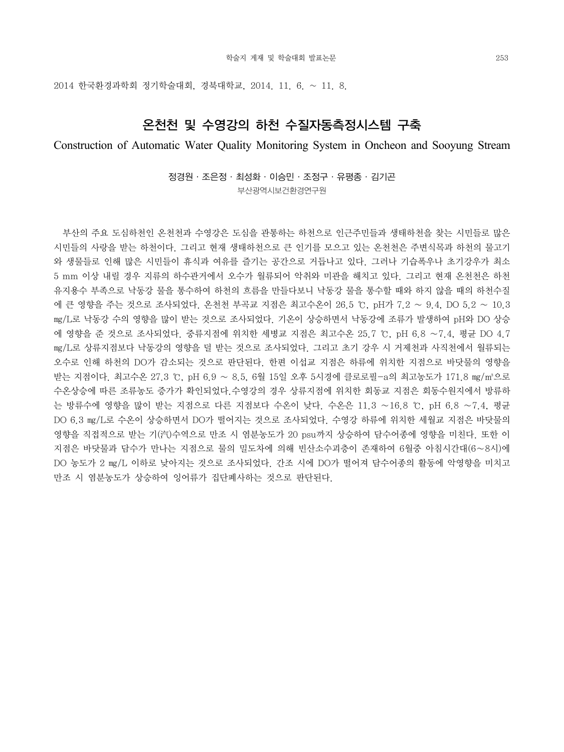2014 한국환경과학회 정기학술대회, 경북대학교, 2014. 11. 6. ~ 11. 8.

## 온천천 및 수영강의 하천 수질자동측정시스템 구축

Construction of Automatic Water Quality Monitoring System in Oncheon and Sooyung Stream

정경원·조은정·최성화·이승민·조정구·유평종·김기곤 부산광역시보건환경연구원

 부산의 주요 도심하천인 온천천과 수영강은 도심을 관통하는 하천으로 인근주민들과 생태하천을 찾는 시민들로 많은 시민들의 사랑을 받는 하천이다. 그리고 현재 생태하천으로 큰 인기를 모으고 있는 온천천은 주변식목과 하천의 물고기 와 생물들로 인해 많은 시민들이 휴식과 여유를 즐기는 공간으로 거듭나고 있다. 그러나 기습폭우나 초기강우가 최소 5 mm 이상 내릴 경우 지류의 하수관거에서 오수가 월류되어 악취와 미관을 해치고 있다. 그리고 현재 온천천은 하천 유지용수 부족으로 낙동강 물을 통수하여 하천의 흐름을 만들다보니 낙동강 물을 통수할 때와 하지 않을 때의 하천수질 에 큰 영향을 주는 것으로 조사되었다. 온천천 부곡교 지점은 최고수온이 26.5 ℃, pH가 7.2 ∼ 9.4, DO 5.2 ∼ 10.3 ㎎/L로 낙동강 수의 영향을 많이 받는 것으로 조사되었다. 기온이 상승하면서 낙동강에 조류가 발생하여 pH와 DO 상승 에 영향을 준 것으로 조사되었다. 중류지점에 위치한 세병교 지점은 최고수온 25.7 ℃, pH 6.8 ∼7.4, 평균 DO 4.7 ㎎/L로 상류지점보다 낙동강의 영향을 덜 받는 것으로 조사되었다. 그리고 초기 강우 시 거제천과 사직천에서 월류되는 오수로 인해 하천의 DO가 감소되는 것으로 판단된다. 한편 이섭교 지점은 하류에 위치한 지점으로 바닷물의 영향을 받는 지점이다. 최고수온 27.3 ℃, pH 6.9 ∼ 8.5, 6월 15일 오후 5시경에 클로로필-a의 최고농도가 171.8 ㎎/㎥으로 수온상승에 따른 조류농도 증가가 확인되었다.수영강의 경우 상류지점에 위치한 회동교 지점은 회동수원지에서 방류하 는 방류수에 영향을 많이 받는 지점으로 다른 지점보다 수온이 낮다. 수온은 11.3 ∼16.8 ℃, pH 6.8 ∼7.4, 평균 DO 6.3 ㎎/L로 수온이 상승하면서 DO가 떨어지는 것으로 조사되었다. 수영강 하류에 위치한 세월교 지점은 바닷물의 영향을 직접적으로 받는 기(汽)수역으로 만조 시 염분농도가 20 psu까지 상승하여 담수어종에 영향을 미친다. 또한 이 지점은 바닷물과 담수가 만나는 지점으로 물의 밀도차에 의해 빈산소수괴층이 존재하여 6월중 아침시간대(6∼8시)에 DO 농도가 2 ㎎/L 이하로 낮아지는 것으로 조사되었다. 간조 시에 DO가 떨어져 담수어종의 활동에 악영향을 미치고 만조 시 염분농도가 상승하여 잉어류가 집단폐사하는 것으로 판단된다.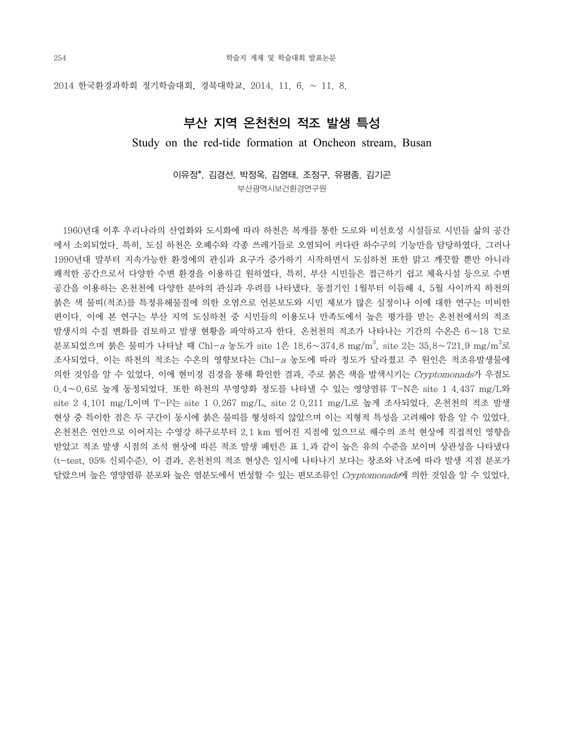2014 한국환경과학회 정기학술대회, 경북대학교, 2014. 11. 6. ~ 11. 8.

### 부산 지역 온천천의 적조 발생 특성

### Study on the red-tide formation at Oncheon stream, Busan

이유정\*, 김경선, 박정옥, 김영태, 조정구, 유평종, 김기곤 부산광역시보건환경연구원

 1960년대 이후 우리나라의 산업화와 도시화에 따라 하천은 복개를 통한 도로와 비선호성 시설들로 시민들 삶의 공간 에서 소외되었다. 특히, 도심 하천은 오폐수와 각종 쓰레기들로 오염되어 커다란 하수구의 기능만을 담당하였다. 그러나 1990년대 말부터 지속가능한 환경에의 관심과 요구가 증가하기 시작하면서 도심하천 또한 맑고 깨끗할 뿐만 아니라 쾌적한 공간으로서 다양한 수변 환경을 이용하길 원하였다. 특히, 부산 시민들은 접근하기 쉽고 체육시설 등으로 수변 공간을 이용하는 온천천에 다양한 분야의 관심과 우려를 나타냈다. 동절기인 1월부터 이듬해 4, 5월 사이까지 하천의 붉은 색 물띠(적조)를 특정유해물질에 의한 오염으로 언론보도와 시민 제보가 많은 실정이나 이에 대한 연구는 미비한 편이다. 이에 본 연구는 부산 지역 도심하천 중 시민들의 이용도나 만족도에서 높은 평가를 받는 온천천에서의 적조 발생시의 수질 변화를 검토하고 발생 현황을 파악하고자 한다. 온천천의 적조가 나타나는 기간의 수온은 6∼18 ℃로 분포되었으며 붉은 물띠가 나타날 때 Chl−*a* 농도가 site 1은 18.6∼374.8 mg/m<sup>3</sup>, site 2는 35.8∼721.9 mg/m<sup>3</sup>로 조사되었다. 이는 하천의 적조는 수온의 영향보다는 Chl-a 농도에 따라 정도가 달라졌고 주 원인은 적조유발생물에 의한 것임을 알 수 있었다. 이에 현미경 검경을 통해 확인한 결과, 주로 붉은 색을 발색시키는 Cryptomonads가 우점도 0.4∼0.6로 높게 동정되었다. 또한 하천의 부영양화 정도를 나타낼 수 있는 영양염류 T-N은 site 1 4.437 mg/L와 site 2 4.101 mg/L이며 T-P는 site 1 0.267 mg/L, site 2 0.211 mg/L로 높게 조사되었다. 온천천의 적조 발생 현상 중 특이한 점은 두 구간이 동시에 붉은 물띠를 형성하지 않았으며 이는 지형적 특성을 고려해야 함을 알 수 있었다. 온천천은 연안으로 이어지는 수영강 하구로부터 2.1 km 떨어진 지점에 있으므로 해수의 조석 현상에 직접적인 영향을 받았고 적조 발생 시점의 조석 현상에 따른 적조 발생 패턴은 표 1.과 같이 높은 유의 수준을 보이며 상관성을 나타냈다 (t-test, 95% 신뢰수준). 이 결과, 온천천의 적조 현상은 일시에 나타나기 보다는 창조와 낙조에 따라 발생 지점 분포가 달랐으며 높은 영양염류 분포와 높은 염분도에서 번성할 수 있는 편모조류인 Cryptomonads에 의한 것임을 알 수 있었다.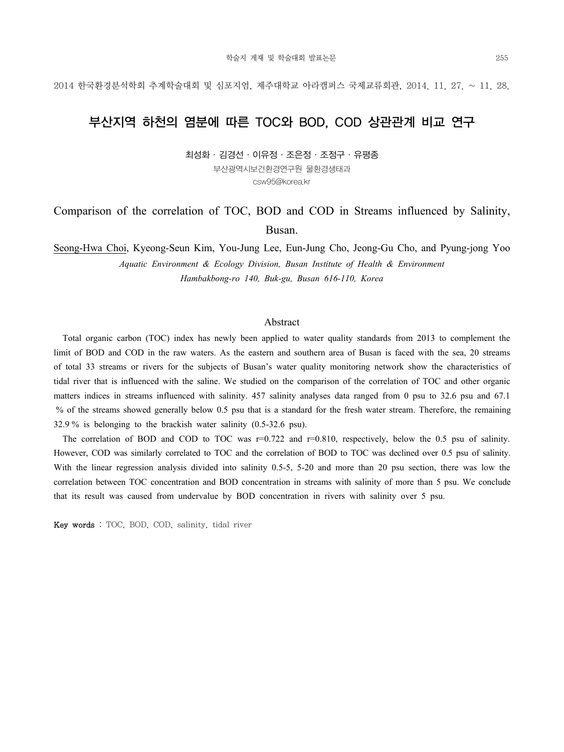## 부산지역 하천의 염분에 따른 TOC와 BOD, COD 상관관계 비교 연구

최성화·김경선·이유정·조은정·조정구·유평종 부산광역시보건환경연구원 물환경생태과 csw95@korea.kr

## Comparison of the correlation of TOC, BOD and COD in Streams influenced by Salinity, Busan.

Seong-Hwa Choi, Kyeong-Seun Kim, You-Jung Lee, Eun-Jung Cho, Jeong-Gu Cho, and Pyung-jong Yoo *Aquatic Environment & Ecology Division, Busan Institute of Health & Environment Hambakbong-ro 140, Buk-gu, Busan 616-110, Korea* 

#### Abstract

 Total organic carbon (TOC) index has newly been applied to water quality standards from 2013 to complement the limit of BOD and COD in the raw waters. As the eastern and southern area of Busan is faced with the sea, 20 streams of total 33 streams or rivers for the subjects of Busan's water quality monitoring network show the characteristics of tidal river that is influenced with the saline. We studied on the comparison of the correlation of TOC and other organic matters indices in streams influenced with salinity. 457 salinity analyses data ranged from 0 psu to 32.6 psu and 67.1 % of the streams showed generally below 0.5 psu that is a standard for the fresh water stream. Therefore, the remaining 32.9 % is belonging to the brackish water salinity (0.5-32.6 psu).

The correlation of BOD and COD to TOC was  $r=0.722$  and  $r=0.810$ , respectively, below the 0.5 psu of salinity. However, COD was similarly correlated to TOC and the correlation of BOD to TOC was declined over 0.5 psu of salinity. With the linear regression analysis divided into salinity 0.5-5, 5-20 and more than 20 psu section, there was low the correlation between TOC concentration and BOD concentration in streams with salinity of more than 5 psu. We conclude that its result was caused from undervalue by BOD concentration in rivers with salinity over 5 psu.

Key words : TOC, BOD, COD, salinity, tidal river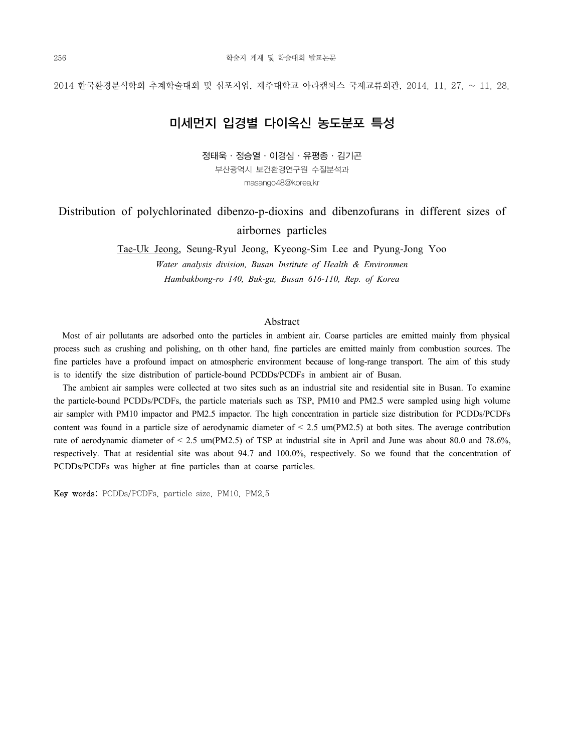## 미세먼지 입경별 다이옥신 농도분포 특성

정태욱·정승열·이경심·유평종·김기곤 부산광역시 보건환경연구원 수질분석과 masango48@korea.kr

## Distribution of polychlorinated dibenzo-p-dioxins and dibenzofurans in different sizes of airbornes particles

Tae-Uk Jeong, Seung-Ryul Jeong, Kyeong-Sim Lee and Pyung-Jong Yoo *Water analysis division, Busan Institute of Health & Environmen Hambakbong-ro 140, Buk-gu, Busan 616-110, Rep. of Korea*

#### Abstract

 Most of air pollutants are adsorbed onto the particles in ambient air. Coarse particles are emitted mainly from physical process such as crushing and polishing, on th other hand, fine particles are emitted mainly from combustion sources. The fine particles have a profound impact on atmospheric environment because of long-range transport. The aim of this study is to identify the size distribution of particle-bound PCDDs/PCDFs in ambient air of Busan.

 The ambient air samples were collected at two sites such as an industrial site and residential site in Busan. To examine the particle-bound PCDDs/PCDFs, the particle materials such as TSP, PM10 and PM2.5 were sampled using high volume air sampler with PM10 impactor and PM2.5 impactor. The high concentration in particle size distribution for PCDDs/PCDFs content was found in a particle size of aerodynamic diameter of  $\leq$  2.5 um(PM2.5) at both sites. The average contribution rate of aerodynamic diameter of < 2.5 um(PM2.5) of TSP at industrial site in April and June was about 80.0 and 78.6%, respectively. That at residential site was about 94.7 and 100.0%, respectively. So we found that the concentration of PCDDs/PCDFs was higher at fine particles than at coarse particles.

Key words: PCDDs/PCDFs, particle size, PM10, PM2.5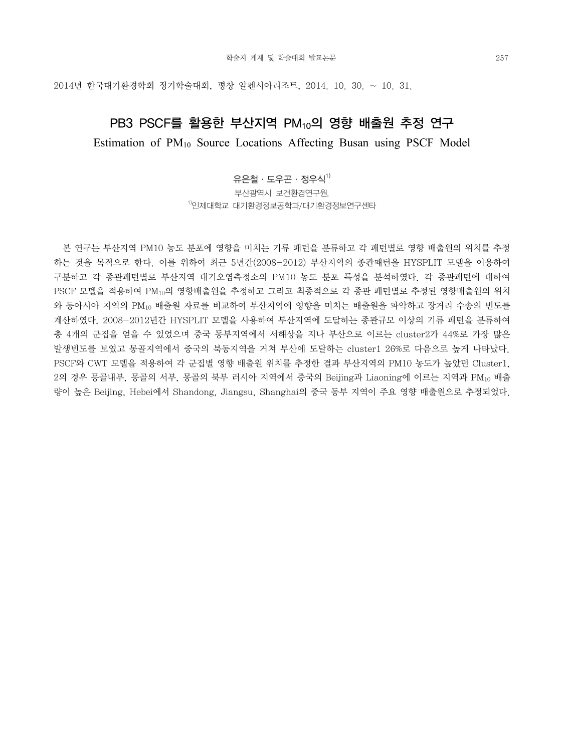### PB3 PSCF를 활용한 부산지역 PM10의 영향 배출원 추정 연구

Estimation of PM10 Source Locations Affecting Busan using PSCF Model

### 유은철ㆍ도우곤ㆍ정우식 $^{1)}$

부산광역시 보건환경연구원, 1)인제대학교 대기환경정보공학과/대기환경정보연구센타

 본 연구는 부산지역 PM10 농도 분포에 영향을 미치는 기류 패턴을 분류하고 각 패턴별로 영향 배출원의 위치를 추정 하는 것을 목적으로 한다. 이를 위하여 최근 5년간(2008-2012) 부산지역의 종관패턴을 HYSPLIT 모델을 이용하여 구분하고 각 종관패턴별로 부산지역 대기오염측정소의 PM10 농도 분포 특성을 분석하였다. 각 종관패턴에 대하여 PSCF 모델을 적용하여 PM10의 영향배출원을 추정하고 그리고 최종적으로 각 종관 패턴별로 추정된 영향배출원의 위치 와 동아시아 지역의 PM10 배출원 자료를 비교하여 부산지역에 영향을 미치는 배출원을 파악하고 장거리 수송의 빈도를 계산하였다. 2008-2012년간 HYSPLIT 모델을 사용하여 부산지역에 도달하는 종관규모 이상의 기류 패턴을 분류하여 총 4개의 군집을 얻을 수 있었으며 중국 동부지역에서 서해상을 지나 부산으로 이르는 cluster2가 44%로 가장 많은 발생빈도를 보였고 몽골지역에서 중국의 북동지역을 거쳐 부산에 도달하는 cluster1 26%로 다음으로 높게 나타났다. PSCF와 CWT 모델을 적용하여 각 군집별 영향 배출원 위치를 추정한 결과 부산지역의 PM10 농도가 높았던 Cluster1, 2의 경우 몽골내부, 몽골의 서부, 몽골의 북부 러시아 지역에서 중국의 Beijing과 Liaoning에 이르는 지역과 PM10 배출 량이 높은 Beijing, Hebei에서 Shandong, Jiangsu, Shanghai의 중국 동부 지역이 주요 영향 배출원으로 추정되었다.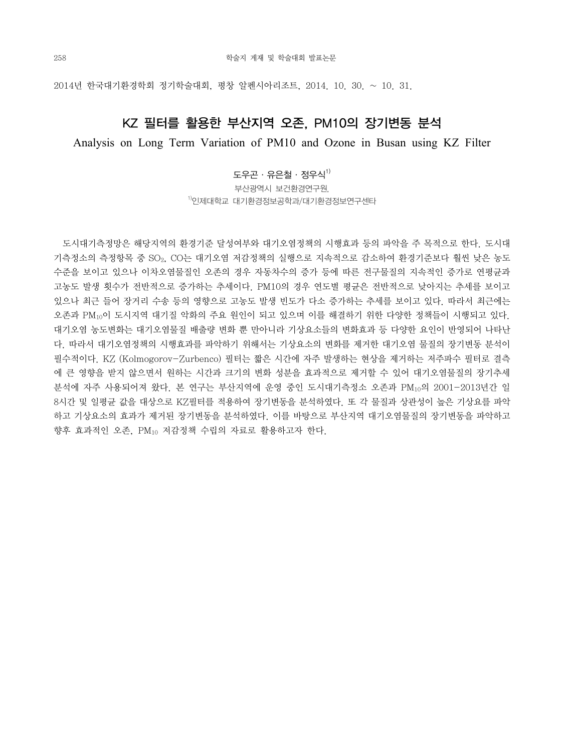## KZ 필터를 활용한 부산지역 오존, PM10의 장기변동 분석

Analysis on Long Term Variation of PM10 and Ozone in Busan using KZ Filter

### 도우곤ㆍ유은철ㆍ정우식<sup>1)</sup>

부산광역시 보건환경연구원, 1)인제대학교 대기환경정보공학과/대기환경정보연구센타

 도시대기측정망은 해당지역의 환경기준 달성여부와 대기오염정책의 시행효과 등의 파악을 주 목적으로 한다. 도시대 기측정소의 측정항목 중 SO2, CO는 대기오염 저감정책의 실행으로 지속적으로 감소하여 환경기준보다 훨씬 낮은 농도 수준을 보이고 있으나 이차오염물질인 오존의 경우 자동차수의 증가 등에 따른 전구물질의 지속적인 증가로 연평균과 고농도 발생 횟수가 전반적으로 증가하는 추세이다. PM10의 경우 연도별 평균은 전반적으로 낮아지는 추세를 보이고 있으나 최근 들어 장거리 수송 등의 영향으로 고농도 발생 빈도가 다소 증가하는 추세를 보이고 있다. 따라서 최근에는 오존과 PM10이 도시지역 대기질 악화의 주요 원인이 되고 있으며 이를 해결하기 위한 다양한 정책들이 시행되고 있다. 대기오염 농도변화는 대기오염물질 배출량 변화 뿐 만아니라 기상요소들의 변화효과 등 다양한 요인이 반영되어 나타난 다. 따라서 대기오염정책의 시행효과를 파악하기 위해서는 기상요소의 변화를 제거한 대기오염 물질의 장기변동 분석이 필수적이다. KZ (Kolmogorov-Zurbenco) 필터는 짧은 시간에 자주 발생하는 현상을 제거하는 저주파수 필터로 결측 에 큰 영향을 받지 않으면서 원하는 시간과 크기의 변화 성분을 효과적으로 제거할 수 있어 대기오염물질의 장기추세 분석에 자주 사용되어져 왔다. 본 연구는 부산지역에 운영 중인 도시대기측정소 오존과 PM10의 2001-2013년간 일 8시간 및 일평균 값을 대상으로 KZ필터를 적용하여 장기변동을 분석하였다. 또 각 물질과 상관성이 높은 기상요를 파악 하고 기상요소의 효과가 제거된 장기변동을 분석하였다. 이를 바탕으로 부산지역 대기오염물질의 장기변동을 파악하고 향후 효과적인 오존, PM10 저감정책 수립의 자료로 활용하고자 한다.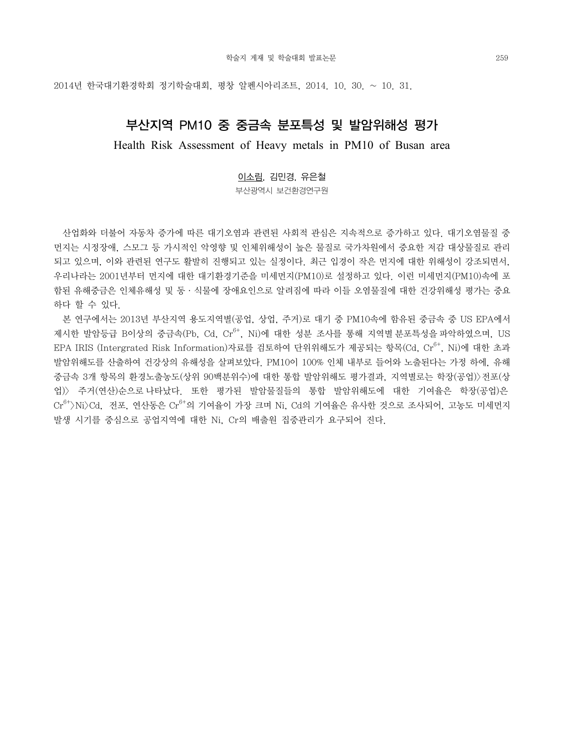### 부산지역 PM10 중 중금속 분포특성 및 발암위해성 평가

Health Risk Assessment of Heavy metals in PM10 of Busan area

이소림, 김민경, 유은철

부산광역시 보건환경연구원

 산업화와 더불어 자동차 증가에 따른 대기오염과 관련된 사회적 관심은 지속적으로 증가하고 있다. 대기오염물질 중 먼지는 시정장애, 스모그 등 가시적인 악영향 및 인체위해성이 높은 물질로 국가차원에서 중요한 저감 대상물질로 관리 되고 있으며, 이와 관련된 연구도 활발히 진행되고 있는 실정이다. 최근 입경이 작은 먼지에 대한 위해성이 강조되면서, 우리나라는 2001년부터 먼지에 대한 대기환경기준을 미세먼지(PM10)로 설정하고 있다. 이런 미세먼지(PM10)속에 포 함된 유해중금은 인체유해성 및 동·식물에 장애요인으로 알려짐에 따라 이들 오염물질에 대한 건강위해성 평가는 중요 하다 할 수 있다.

 본 연구에서는 2013년 부산지역 용도지역별(공업, 상업, 주거)로 대기 중 PM10속에 함유된 중금속 중 US EPA에서 제시한 발암등급 B이상의 중금속(Pb, Cd, Cr $^{6+}$ , Ni)에 대한 성분 조사를 통해 지역별 분포특성을 파악하였으며, US EPA IRIS (Intergrated Risk Information)자료를 검토하여 단위위해도가 제공되는 항목(Cd, Cr6+, Ni)에 대한 초과 발암위해도를 산출하여 건강상의 유해성을 살펴보았다. PM10이 100% 인체 내부로 들어와 노출된다는 가정 하에, 유해 중금속 3개 항목의 환경노출농도(상위 90백분위수)에 대한 통합 발암위해도 평가결과, 지역별로는 학장(공업)>전포(상 업)> 주거(연산)순으로 나타났다. 또한 평가된 발암물질들의 통합 발암위해도에 대한 기여율은 학장(공업)은  $Cr<sup>6+</sup>$ )Ni $>$ Cd, 전포, 연산동은  $Cr<sup>6+</sup>$ 의 기여율이 가장 크며 Ni, Cd의 기여율은 유사한 것으로 조사되어, 고농도 미세먼지 발생 시기를 중심으로 공업지역에 대한 Ni, Cr의 배출원 집중관리가 요구되어 진다.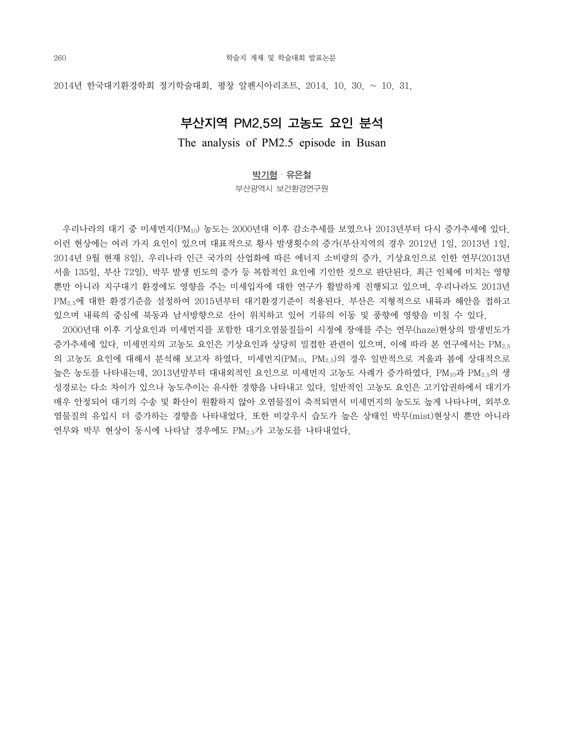### 부산지역 PM2.5의 고농도 요인 분석

The analysis of PM2.5 episode in Busan

#### 박기형・유은철

부산광역시 보건환경연구원

 우리나라의 대기 중 미세먼지(PM10) 농도는 2000년대 이후 감소추세를 보였으나 2013년부터 다시 증가추세에 있다. 이런 현상에는 여러 가지 요인이 있으며 대표적으로 황사 발생횟수의 증가(부산지역의 경우 2012년 1일, 2013년 1일, 2014년 9월 현재 8일), 우리나라 인근 국가의 산업화에 따른 에너지 소비량의 증가, 기상요인으로 인한 연무(2013년 서울 135일, 부산 72일), 박무 발생 빈도의 증가 등 복합적인 요인에 기인한 것으로 판단된다. 최근 인체에 미치는 영향 뿐만 아니라 지구대기 환경에도 영향을 주는 미세입자에 대한 연구가 활발하게 진행되고 있으며, 우리나라도 2013년 PM2.5에 대한 환경기준을 설정하여 2015년부터 대기환경기준이 적용된다. 부산은 지형적으로 내륙과 해안을 접하고 있으며 내륙의 중심에 북동과 남서방향으로 산이 위치하고 있어 기류의 이동 및 풍향에 영향을 미칠 수 있다.

 2000년대 이후 기상요인과 미세먼지를 포함한 대기오염물질들이 시정에 장애를 주는 연무(haze)현상의 발생빈도가 증가추세에 있다. 미세먼지의 고농도 요인은 기상요인과 상당히 밀접한 관련이 있으며, 이에 따라 본 연구에서는 PM2.5 의 고농도 요인에 대해서 분석해 보고자 하였다. 미세먼지(PM10, PM2.5)의 경우 일반적으로 겨울과 봄에 상대적으로 높은 농도를 나타내는데, 2013년말부터 대내외적인 요인으로 미세먼지 고농도 사례가 증가하였다. PM10과 PM2.5의 생 성경로는 다소 차이가 있으나 농도추이는 유사한 경향을 나타내고 있다. 일반적인 고농도 요인은 고기압권하에서 대기가 매우 안정되어 대기의 수송 및 확산이 원활하지 않아 오염물질이 축적되면서 미세먼지의 농도도 높게 나타나며, 외부오 염물질의 유입시 더 증가하는 경향을 나타내었다. 또한 비강우시 습도가 높은 상태인 박무(mist)현상시 뿐만 아니라 연무와 박무 현상이 동시에 나타날 경우에도 PM2.5가 고농도를 나타내었다.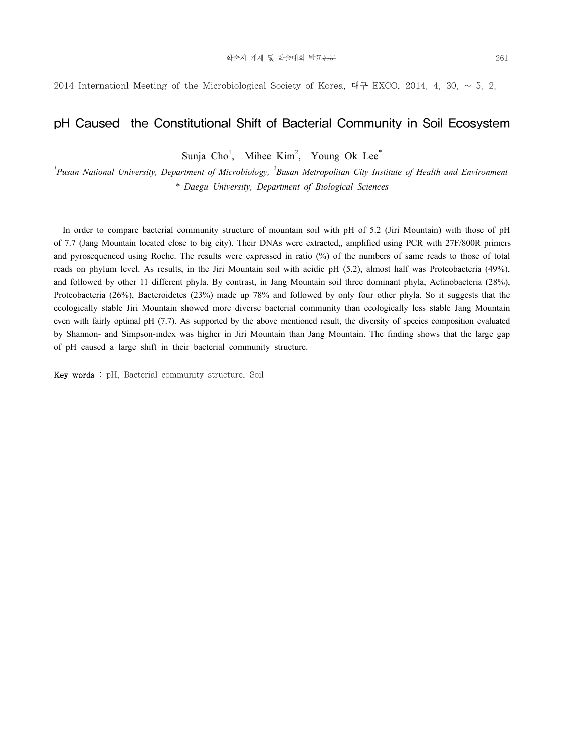2014 Internationl Meeting of the Microbiological Society of Korea, 대구 EXCO, 2014, 4, 30,  $\sim$  5, 2.

### pH Caused the Constitutional Shift of Bacterial Community in Soil Ecosystem

Sunja  $Cho<sup>1</sup>$ , Mihee Kim<sup>2</sup>, Young Ok Lee<sup>\*</sup>

<sup>1</sup> Pusan National University, Department of Microbiology, <sup>2</sup> Busan Metropolitan City Institute of Health and Environment *\* Daegu University, Department of Biological Sciences* 

 In order to compare bacterial community structure of mountain soil with pH of 5.2 (Jiri Mountain) with those of pH of 7.7 (Jang Mountain located close to big city). Their DNAs were extracted,, amplified using PCR with 27F/800R primers and pyrosequenced using Roche. The results were expressed in ratio (%) of the numbers of same reads to those of total reads on phylum level. As results, in the Jiri Mountain soil with acidic pH (5.2), almost half was Proteobacteria (49%), and followed by other 11 different phyla. By contrast, in Jang Mountain soil three dominant phyla, Actinobacteria (28%), Proteobacteria (26%), Bacteroidetes (23%) made up 78% and followed by only four other phyla. So it suggests that the ecologically stable Jiri Mountain showed more diverse bacterial community than ecologically less stable Jang Mountain even with fairly optimal pH (7.7). As supported by the above mentioned result, the diversity of species composition evaluated by Shannon- and Simpson-index was higher in Jiri Mountain than Jang Mountain. The finding shows that the large gap of pH caused a large shift in their bacterial community structure.

Key words : pH, Bacterial community structure, Soil